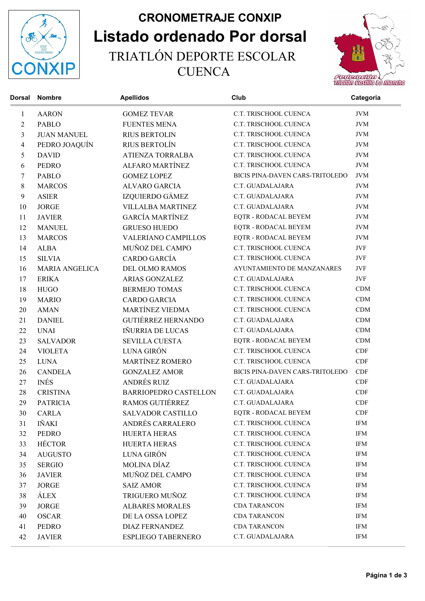

## Listado ordenado Por dorsal CRONOMETRAJE CONXIP TRIATLÓN DEPORTE ESCOLAR **CUENCA**



| <b>Dorsal</b>    | <b>Nombre</b>         | <b>Apellidos</b>             | Club                            | Categoria           |
|------------------|-----------------------|------------------------------|---------------------------------|---------------------|
| $\mathbf{1}$     | <b>AARON</b>          | <b>GOMEZ TEVAR</b>           | C.T. TRISCHOOL CUENCA           | <b>JVM</b>          |
| $\mathbf{2}$     | <b>PABLO</b>          | <b>FUENTES MENA</b>          | C.T. TRISCHOOL CUENCA           | <b>JVM</b>          |
| $\mathfrak{Z}$   | <b>JUAN MANUEL</b>    | <b>RIUS BERTOLIN</b>         | C.T. TRISCHOOL CUENCA           | <b>JVM</b>          |
| $\overline{4}$   | PEDRO JOAQUÍN         | RIUS BERTOLÍN                | C.T. TRISCHOOL CUENCA           | <b>JVM</b>          |
| 5                | <b>DAVID</b>          | ATIENZA TORRALBA             | C.T. TRISCHOOL CUENCA           | $\rm JVM$           |
| 6                | <b>PEDRO</b>          | <b>ALFARO MARTÍNEZ</b>       | C.T. TRISCHOOL CUENCA           | <b>JVM</b>          |
| $\tau$           | <b>PABLO</b>          | <b>GOMEZ LOPEZ</b>           | BICIS PINA-DAVEN CARS-TRITOLEDO | <b>JVM</b>          |
| 8                | <b>MARCOS</b>         | <b>ALVARO GARCIA</b>         | C.T. GUADALAJARA                | <b>JVM</b>          |
| $\boldsymbol{9}$ | <b>ASIER</b>          | IZQUIERDO GÁMEZ              | C.T. GUADALAJARA                | <b>JVM</b>          |
| 10               | <b>JORGE</b>          | <b>VILLALBA MARTINEZ</b>     | C.T. GUADALAJARA                | <b>JVM</b>          |
| 11               | <b>JAVIER</b>         | <b>GARCÍA MARTÍNEZ</b>       | EQTR - RODACAL BEYEM            | <b>JVM</b>          |
| 12               | <b>MANUEL</b>         | <b>GRUESO HUEDO</b>          | EQTR - RODACAL BEYEM            | <b>JVM</b>          |
| 13               | <b>MARCOS</b>         | <b>VALERIANO CAMPILLOS</b>   | EQTR - RODACAL BEYEM            | <b>JVM</b>          |
| 14               | <b>ALBA</b>           | MUÑOZ DEL CAMPO              | C.T. TRISCHOOL CUENCA           | JVF                 |
| 15               | <b>SILVIA</b>         | CARDO GARCÍA                 | C.T. TRISCHOOL CUENCA           | JVF                 |
| 16               | <b>MARIA ANGELICA</b> | DEL OLMO RAMOS               | AYUNTAMIENTO DE MANZANARES      | JVF                 |
| 17               | <b>ERIKA</b>          | ARIAS GONZALEZ               | C.T. GUADALAJARA                | JVF                 |
| 18               | <b>HUGO</b>           | <b>BERMEJO TOMAS</b>         | C.T. TRISCHOOL CUENCA           | CDM                 |
| 19               | <b>MARIO</b>          | <b>CARDO GARCIA</b>          | C.T. TRISCHOOL CUENCA           | CDM                 |
| 20               | <b>AMAN</b>           | MARTÍNEZ VIEDMA              | C.T. TRISCHOOL CUENCA           | CDM                 |
| 21               | <b>DANIEL</b>         | <b>GUTIÉRREZ HERNANDO</b>    | C.T. GUADALAJARA                | CDM                 |
| 22               | <b>UNAI</b>           | IÑURRIA DE LUCAS             | C.T. GUADALAJARA                | CDM                 |
| 23               | <b>SALVADOR</b>       | <b>SEVILLA CUESTA</b>        | EQTR - RODACAL BEYEM            | CDM                 |
| 24               | <b>VIOLETA</b>        | LUNA GIRÓN                   | C.T. TRISCHOOL CUENCA           | CDF                 |
| 25               | <b>LUNA</b>           | <b>MARTÍNEZ ROMERO</b>       | C.T. TRISCHOOL CUENCA           | CDF                 |
| 26               | <b>CANDELA</b>        | <b>GONZALEZ AMOR</b>         | BICIS PINA-DAVEN CARS-TRITOLEDO | CDF                 |
| 27               | <b>INÉS</b>           | ANDRÉS RUIZ                  | C.T. GUADALAJARA                | CDF                 |
| 28               | <b>CRISTINA</b>       | <b>BARRIOPEDRO CASTELLON</b> | C.T. GUADALAJARA                | CDF                 |
| 29               | <b>PATRICIA</b>       | RAMOS GUTIÉRREZ              | C.T. GUADALAJARA                | CDF                 |
| 30               | CARLA                 | SALVADOR CASTILLO            | EQTR - RODACAL BEYEM            | CDF                 |
| 31               | IÑAKI                 | ANDRÉS CARRALERO             | C.T. TRISCHOOL CUENCA           | IFM                 |
| 32               | <b>PEDRO</b>          | HUERTA HERAS                 | C.T. TRISCHOOL CUENCA           | IFM                 |
| 33               | <b>HÉCTOR</b>         | HUERTA HERAS                 | C.T. TRISCHOOL CUENCA           | <b>IFM</b>          |
| 34               | <b>AUGUSTO</b>        | LUNA GIRÓN                   | C.T. TRISCHOOL CUENCA           | IFM                 |
| 35               | <b>SERGIO</b>         | MOLINA DÍAZ                  | C.T. TRISCHOOL CUENCA           | <b>IFM</b>          |
| 36               | <b>JAVIER</b>         | MUÑOZ DEL CAMPO              | C.T. TRISCHOOL CUENCA           | IFM                 |
| 37               | <b>JORGE</b>          | <b>SAIZ AMOR</b>             | C.T. TRISCHOOL CUENCA           | IFM                 |
| 38               | <b>ÁLEX</b>           | TRIGUERO MUÑOZ               | C.T. TRISCHOOL CUENCA           | IFM                 |
| 39               | <b>JORGE</b>          | <b>ALBARES MORALES</b>       | <b>CDA TARANCON</b>             | IFM                 |
| 40               | <b>OSCAR</b>          | DE LA OSSA LOPEZ             | <b>CDA TARANCON</b>             | IFM                 |
| 41               | <b>PEDRO</b>          | <b>DIAZ FERNANDEZ</b>        | <b>CDA TARANCON</b>             | IFM                 |
| 42               | <b>JAVIER</b>         | ESPLIEGO TABERNERO           | C.T. GUADALAJARA                | $\text{IFM}\xspace$ |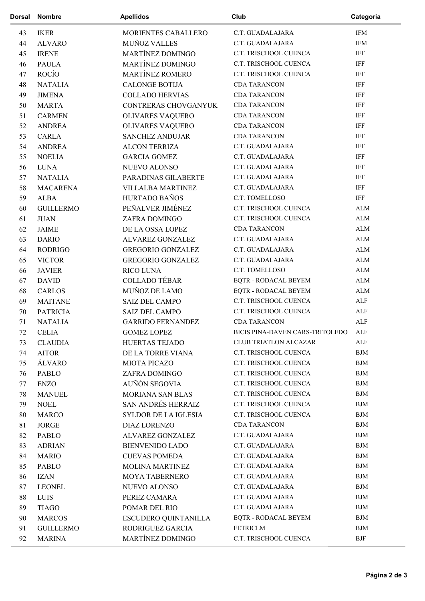| Dorsal | <b>Nombre</b>                | <b>Apellidos</b>            | Club                                 | Categoria               |
|--------|------------------------------|-----------------------------|--------------------------------------|-------------------------|
| 43     | <b>IKER</b>                  | MORIENTES CABALLERO         | C.T. GUADALAJARA                     | <b>IFM</b>              |
| 44     | <b>ALVARO</b>                | <b>MUÑOZ VALLES</b>         | C.T. GUADALAJARA                     | <b>IFM</b>              |
| 45     | <b>IRENE</b>                 | MARTÍNEZ DOMINGO            | C.T. TRISCHOOL CUENCA                | IFF                     |
| 46     | <b>PAULA</b>                 | MARTÍNEZ DOMINGO            | C.T. TRISCHOOL CUENCA                | <b>IFF</b>              |
| 47     | ROCÍO                        | MARTÍNEZ ROMERO             | C.T. TRISCHOOL CUENCA                | IFF                     |
| 48     | <b>NATALIA</b>               | <b>CALONGE BOTIJA</b>       | <b>CDA TARANCON</b>                  | IFF                     |
| 49     | <b>JIMENA</b>                | <b>COLLADO HERVIAS</b>      | <b>CDA TARANCON</b>                  | IFF                     |
| 50     | <b>MARTA</b>                 | CONTRERAS CHOVGANYUK        | <b>CDA TARANCON</b>                  | IFF                     |
| 51     | <b>CARMEN</b>                | OLIVARES VAQUERO            | <b>CDA TARANCON</b>                  | <b>IFF</b>              |
| 52     | <b>ANDREA</b>                | OLIVARES VAQUERO            | <b>CDA TARANCON</b>                  | IFF                     |
| 53     | <b>CARLA</b>                 | <b>SANCHEZ ANDUJAR</b>      | <b>CDA TARANCON</b>                  | IFF                     |
| 54     | <b>ANDREA</b>                | <b>ALCON TERRIZA</b>        | C.T. GUADALAJARA                     | IFF                     |
| 55     | <b>NOELIA</b>                | <b>GARCIA GOMEZ</b>         | C.T. GUADALAJARA                     | IFF                     |
| 56     | <b>LUNA</b>                  | <b>NUEVO ALONSO</b>         | C.T. GUADALAJARA                     | <b>IFF</b>              |
| 57     | <b>NATALIA</b>               | PARADINAS GILABERTE         | C.T. GUADALAJARA                     | IFF                     |
| 58     | <b>MACARENA</b>              | <b>VILLALBA MARTINEZ</b>    | C.T. GUADALAJARA                     | IFF                     |
| 59     | <b>ALBA</b>                  | HURTADO BAÑOS               | C.T. TOMELLOSO                       | IFF                     |
| 60     | <b>GUILLERMO</b>             | PEÑALVER JIMÉNEZ            | C.T. TRISCHOOL CUENCA                | ALM                     |
| 61     | <b>JUAN</b>                  | ZAFRA DOMINGO               | C.T. TRISCHOOL CUENCA                | ${\rm ALM}$             |
| 62     | <b>JAIME</b>                 | DE LA OSSA LOPEZ            | <b>CDA TARANCON</b>                  | ALM                     |
| 63     | <b>DARIO</b>                 | ALVAREZ GONZALEZ            | C.T. GUADALAJARA                     | ALM                     |
| 64     | <b>RODRIGO</b>               | <b>GREGORIO GONZALEZ</b>    | C.T. GUADALAJARA                     | ${\rm ALM}$             |
| 65     | <b>VICTOR</b>                | <b>GREGORIO GONZALEZ</b>    | C.T. GUADALAJARA                     | ${\rm ALM}$             |
| 66     | <b>JAVIER</b>                | <b>RICO LUNA</b>            | C.T. TOMELLOSO                       | ${\rm ALM}$             |
| 67     | <b>DAVID</b>                 | <b>COLLADO TÉBAR</b>        | EQTR - RODACAL BEYEM                 | ALM                     |
| 68     | <b>CARLOS</b>                | MUÑOZ DE LAMO               | EQTR - RODACAL BEYEM                 | ALM                     |
| 69     | <b>MAITANE</b>               | <b>SAIZ DEL CAMPO</b>       | C.T. TRISCHOOL CUENCA                | $\mbox{ALF}$            |
| 70     | <b>PATRICIA</b>              | <b>SAIZ DEL CAMPO</b>       | C.T. TRISCHOOL CUENCA                | ALF                     |
| 71     | <b>NATALIA</b>               | <b>GARRIDO FERNANDEZ</b>    | <b>CDA TARANCON</b>                  | ALF                     |
| 72     | CELIA                        | <b>GOMEZ LOPEZ</b>          | BICIS PINA-DAVEN CARS-TRITOLEDO      | $\triangle$ LE          |
| 73     | <b>CLAUDIA</b>               | HUERTAS TEJADO              | CLUB TRIATLON ALCAZAR                | ALF                     |
| 74     | <b>AITOR</b>                 | DE LA TORRE VIANA           | C.T. TRISCHOOL CUENCA                | <b>BJM</b>              |
| 75     | <b>ÁLVARO</b>                | <b>MIOTA PICAZO</b>         | C.T. TRISCHOOL CUENCA                | <b>BJM</b>              |
| 76     | PABLO                        | ZAFRA DOMINGO               | C.T. TRISCHOOL CUENCA                | <b>BJM</b>              |
| 77     | <b>ENZO</b>                  | AUÑÓN SEGOVIA               | C.T. TRISCHOOL CUENCA                | <b>BJM</b>              |
| 78     | <b>MANUEL</b>                | MORIANA SAN BLAS            | C.T. TRISCHOOL CUENCA                | BJM                     |
| 79     | <b>NOEL</b>                  | <b>SAN ANDRÉS HERRAIZ</b>   | C.T. TRISCHOOL CUENCA                | <b>BJM</b>              |
| 80     |                              | <b>SYLDOR DE LA IGLESIA</b> | C.T. TRISCHOOL CUENCA                | <b>BJM</b>              |
| 81     | <b>MARCO</b><br><b>JORGE</b> | <b>DIAZ LORENZO</b>         | <b>CDA TARANCON</b>                  | <b>BJM</b>              |
|        |                              |                             | C.T. GUADALAJARA                     | <b>BJM</b>              |
| 82     | PABLO                        | ALVAREZ GONZALEZ            | C.T. GUADALAJARA                     | $\rm BJM$               |
| 83     | <b>ADRIAN</b>                | <b>BIENVENIDO LADO</b>      | C.T. GUADALAJARA                     | $\operatorname{BJM}$    |
| 84     | <b>MARIO</b>                 | <b>CUEVAS POMEDA</b>        |                                      |                         |
| 85     | PABLO                        | <b>MOLINA MARTINEZ</b>      | C.T. GUADALAJARA<br>C.T. GUADALAJARA | <b>BJM</b><br>$\rm BJM$ |
| 86     | <b>IZAN</b>                  | MOYA TABERNERO              |                                      |                         |
| 87     | <b>LEONEL</b>                | NUEVO ALONSO                | C.T. GUADALAJARA                     | <b>BJM</b>              |
| $88\,$ | LUIS                         | PEREZ CAMARA                | C.T. GUADALAJARA                     | <b>BJM</b>              |
| 89     | <b>TIAGO</b>                 | POMAR DEL RIO               | C.T. GUADALAJARA                     | $\operatorname{BJM}$    |
| 90     | <b>MARCOS</b>                | ESCUDERO QUINTANILLA        | EQTR - RODACAL BEYEM                 | $\operatorname{BJM}$    |
| 91     | <b>GUILLERMO</b>             | RODRIGUEZ GARCIA            | FETRICLM                             | $\operatorname{BJM}$    |
| 92     | <b>MARINA</b>                | MARTÍNEZ DOMINGO            | C.T. TRISCHOOL CUENCA                | <b>BJF</b>              |